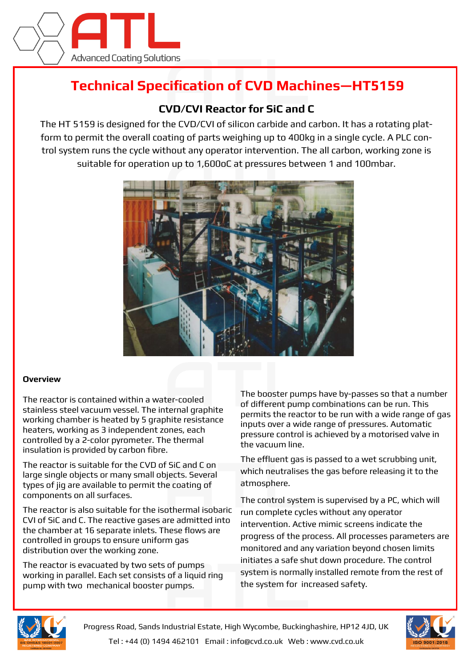

## **Technical Specification of CVD Machines—HT5159**

## **CVD/CVI Reactor for SiC and C**

The HT 5159 is designed for the CVD/CVI of silicon carbide and carbon. It has a rotating platform to permit the overall coating of parts weighing up to 400kg in a single cycle. A PLC control system runs the cycle without any operator intervention. The all carbon, working zone is suitable for operation up to 1,600oC at pressures between 1 and 100mbar.



## **Overview**

The reactor is contained within a water-cooled stainless steel vacuum vessel. The internal graphite working chamber is heated by 5 graphite resistance heaters, working as 3 independent zones, each controlled by a 2-color pyrometer. The thermal insulation is provided by carbon fibre.

The reactor is suitable for the CVD of SiC and C on large single objects or many small objects. Several types of jig are available to permit the coating of components on all surfaces.

The reactor is also suitable for the isothermal isobaric CVI of SiC and C. The reactive gases are admitted into the chamber at 16 separate inlets. These flows are controlled in groups to ensure uniform gas distribution over the working zone.

The reactor is evacuated by two sets of pumps working in parallel. Each set consists of a liquid ring pump with two mechanical booster pumps.

The booster pumps have by-passes so that a number of different pump combinations can be run. This permits the reactor to be run with a wide range of gas inputs over a wide range of pressures. Automatic pressure control is achieved by a motorised valve in the vacuum line.

The effluent gas is passed to a wet scrubbing unit, which neutralises the gas before releasing it to the atmosphere.

The control system is supervised by a PC, which will run complete cycles without any operator intervention. Active mimic screens indicate the progress of the process. All processes parameters are monitored and any variation beyond chosen limits initiates a safe shut down procedure. The control system is normally installed remote from the rest of the system for increased safety.



Progress Road, Sands Industrial Estate, High Wycombe, Buckinghashire, HP12 4JD, UK Tel : +44 (0) 1494 462101 Email : info@cvd.co.uk Web : www.cvd.co.uk